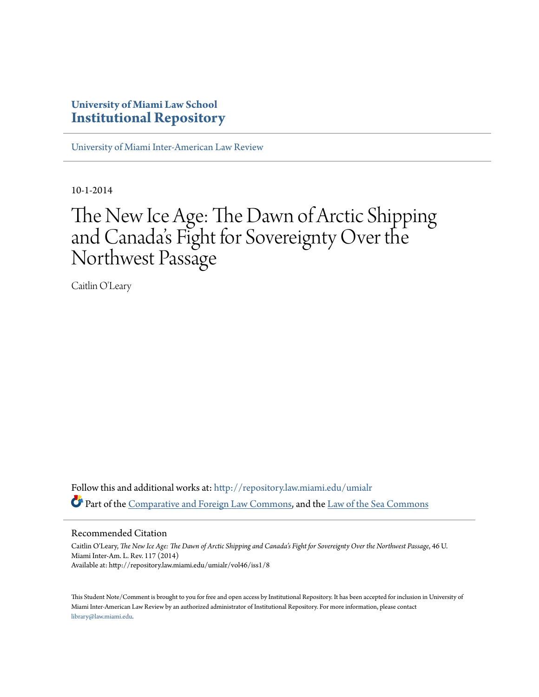# **University of Miami Law School [Institutional Repository](http://repository.law.miami.edu?utm_source=repository.law.miami.edu%2Fumialr%2Fvol46%2Fiss1%2F8&utm_medium=PDF&utm_campaign=PDFCoverPages)**

[University of Miami Inter-American Law Review](http://repository.law.miami.edu/umialr?utm_source=repository.law.miami.edu%2Fumialr%2Fvol46%2Fiss1%2F8&utm_medium=PDF&utm_campaign=PDFCoverPages)

10-1-2014

# The New Ice Age: The Dawn of Arctic Shipping and Canada 's Fight for Sovereignty Over the Northwest Passage

Caitlin O'Leary

Follow this and additional works at: [http://repository.law.miami.edu/umialr](http://repository.law.miami.edu/umialr?utm_source=repository.law.miami.edu%2Fumialr%2Fvol46%2Fiss1%2F8&utm_medium=PDF&utm_campaign=PDFCoverPages) Part of the [Comparative and Foreign Law Commons](http://network.bepress.com/hgg/discipline/836?utm_source=repository.law.miami.edu%2Fumialr%2Fvol46%2Fiss1%2F8&utm_medium=PDF&utm_campaign=PDFCoverPages), and the [Law of the Sea Commons](http://network.bepress.com/hgg/discipline/855?utm_source=repository.law.miami.edu%2Fumialr%2Fvol46%2Fiss1%2F8&utm_medium=PDF&utm_campaign=PDFCoverPages)

# Recommended Citation

Caitlin O'Leary, *The New Ice Age: The Dawn of Arctic Shipping and Canada's Fight for Sovereignty Over the Northwest Passage*, 46 U. Miami Inter-Am. L. Rev. 117 (2014) Available at: http://repository.law.miami.edu/umialr/vol46/iss1/8

This Student Note/Comment is brought to you for free and open access by Institutional Repository. It has been accepted for inclusion in University of Miami Inter-American Law Review by an authorized administrator of Institutional Repository. For more information, please contact [library@law.miami.edu](mailto:library@law.miami.edu).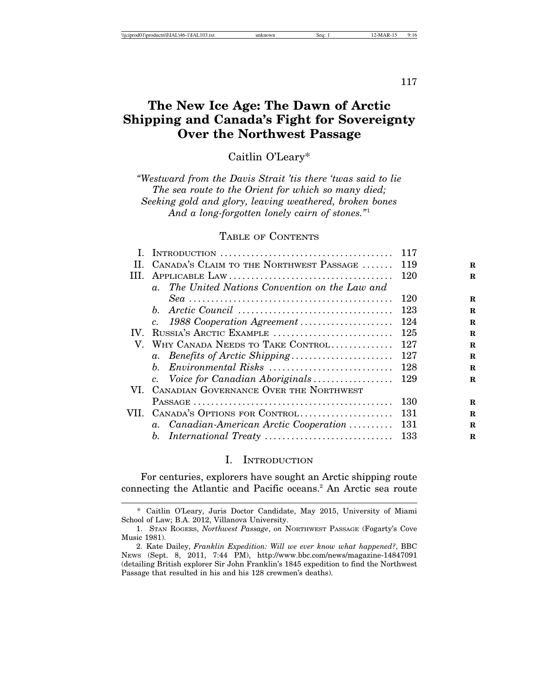117

# **The New Ice Age: The Dawn of Arctic Shipping and Canada's Fight for Sovereignty Over the Northwest Passage**

Caitlin O'Leary\*

*"Westward from the Davis Strait 'tis there 'twas said to lie The sea route to the Orient for which so many died; Seeking gold and glory, leaving weathered, broken bones And a long-forgotten lonely cairn of stones."*<sup>1</sup>

# TABLE OF CONTENTS

|     |                                                 | 117 |             |
|-----|-------------------------------------------------|-----|-------------|
| Н.  | CANADA'S CLAIM TO THE NORTHWEST PASSAGE         | 119 | $\mathbf R$ |
| Ш.  |                                                 | 120 | R           |
|     | a. The United Nations Convention on the Law and |     |             |
|     |                                                 | 120 | R           |
|     |                                                 | 123 | $\bf{R}$    |
|     | c. 1988 Cooperation Agreement                   | 124 | $\bf{R}$    |
| IV. | RUSSIA'S ARCTIC EXAMPLE                         | 125 | $\mathbf R$ |
|     | V. WHY CANADA NEEDS TO TAKE CONTROL             | 127 | R           |
|     | a. Benefits of Arctic Shipping                  | 127 | R           |
|     | b. Environmental Risks                          | 128 | $\bf{R}$    |
|     | c. Voice for Canadian Aboriginals               | 129 | R           |
|     | VI. CANADIAN GOVERNANCE OVER THE NORTHWEST      |     |             |
|     |                                                 | 130 | R           |
|     | VII. CANADA'S OPTIONS FOR CONTROL               | 131 | R           |
|     | a. Canadian-American Arctic Cooperation         | 131 | $\bf{R}$    |
|     |                                                 | 133 | R           |
|     |                                                 |     |             |

# I. INTRODUCTION

For centuries, explorers have sought an Arctic shipping route connecting the Atlantic and Pacific oceans.<sup>2</sup> An Arctic sea route

<sup>\*</sup> Caitlin O'Leary, Juris Doctor Candidate, May 2015, University of Miami School of Law; B.A. 2012, Villanova University.

<sup>1.</sup> STAN ROGERS, *Northwest Passage*, *on* NORTHWEST PASSAGE (Fogarty's Cove Music 1981).

<sup>2.</sup> Kate Dailey, *Franklin Expedition: Will we ever know what happened?*, BBC NEWS (Sept. 8, 2011, 7:44 PM), http://www.bbc.com/news/magazine-14847091 (detailing British explorer Sir John Franklin's 1845 expedition to find the Northwest Passage that resulted in his and his 128 crewmen's deaths).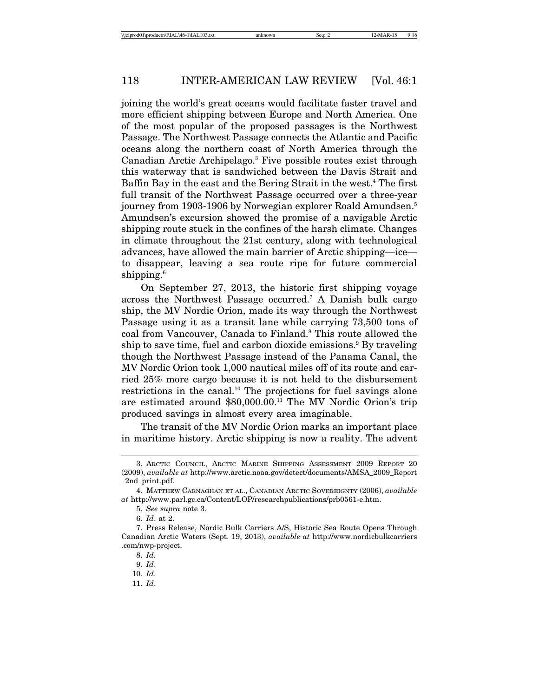joining the world's great oceans would facilitate faster travel and more efficient shipping between Europe and North America. One of the most popular of the proposed passages is the Northwest Passage. The Northwest Passage connects the Atlantic and Pacific oceans along the northern coast of North America through the Canadian Arctic Archipelago.<sup>3</sup> Five possible routes exist through this waterway that is sandwiched between the Davis Strait and Baffin Bay in the east and the Bering Strait in the west.<sup>4</sup> The first full transit of the Northwest Passage occurred over a three-year journey from 1903-1906 by Norwegian explorer Roald Amundsen.<sup>5</sup> Amundsen's excursion showed the promise of a navigable Arctic shipping route stuck in the confines of the harsh climate. Changes in climate throughout the 21st century, along with technological advances, have allowed the main barrier of Arctic shipping—ice to disappear, leaving a sea route ripe for future commercial shipping.<sup>6</sup>

On September 27, 2013, the historic first shipping voyage across the Northwest Passage occurred.7 A Danish bulk cargo ship, the MV Nordic Orion, made its way through the Northwest Passage using it as a transit lane while carrying 73,500 tons of coal from Vancouver, Canada to Finland.<sup>8</sup> This route allowed the ship to save time, fuel and carbon dioxide emissions.<sup>9</sup> By traveling though the Northwest Passage instead of the Panama Canal, the MV Nordic Orion took 1,000 nautical miles off of its route and carried 25% more cargo because it is not held to the disbursement restrictions in the canal.10 The projections for fuel savings alone are estimated around \$80,000.00.11 The MV Nordic Orion's trip produced savings in almost every area imaginable.

The transit of the MV Nordic Orion marks an important place in maritime history. Arctic shipping is now a reality. The advent

<sup>3.</sup> ARCTIC COUNCIL, ARCTIC MARINE SHIPPING ASSESSMENT 2009 REPORT 20 (2009), *available at* http://www.arctic.noaa.gov/detect/documents/AMSA\_2009\_Report \_2nd\_print.pdf.

<sup>4.</sup> MATTHEW CARNAGHAN ET AL., CANADIAN ARCTIC SOVEREIGNTY (2006), *available at* http://www.parl.gc.ca/Content/LOP/researchpublications/prb0561-e.htm.

<sup>5.</sup> *See supra* note 3.

<sup>6.</sup> *Id*. at 2.

<sup>7.</sup> Press Release, Nordic Bulk Carriers A/S, Historic Sea Route Opens Through Canadian Arctic Waters (Sept. 19, 2013), *available at* http://www.nordicbulkcarriers .com/nwp-project.

<sup>8.</sup> *Id.*

<sup>9.</sup> *Id*.

<sup>10.</sup> *Id*.

<sup>11.</sup> *Id*.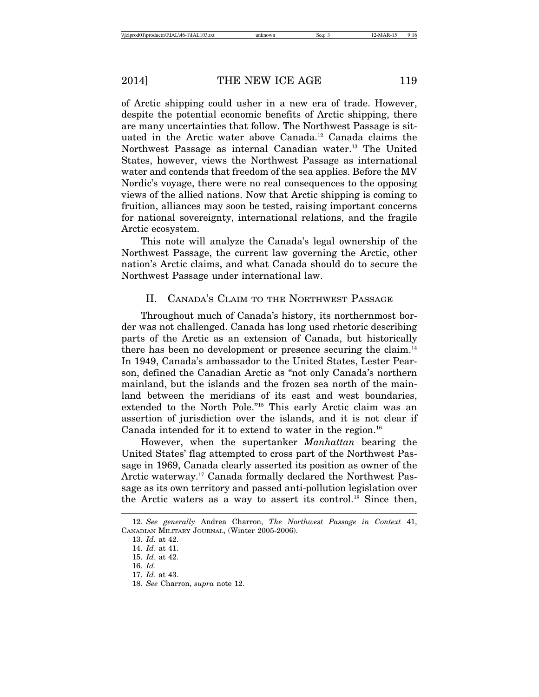of Arctic shipping could usher in a new era of trade. However, despite the potential economic benefits of Arctic shipping, there are many uncertainties that follow. The Northwest Passage is situated in the Arctic water above Canada.<sup>12</sup> Canada claims the Northwest Passage as internal Canadian water.13 The United States, however, views the Northwest Passage as international water and contends that freedom of the sea applies. Before the MV Nordic's voyage, there were no real consequences to the opposing views of the allied nations. Now that Arctic shipping is coming to fruition, alliances may soon be tested, raising important concerns for national sovereignty, international relations, and the fragile Arctic ecosystem.

This note will analyze the Canada's legal ownership of the Northwest Passage, the current law governing the Arctic, other nation's Arctic claims, and what Canada should do to secure the Northwest Passage under international law.

# II. CANADA'S CLAIM TO THE NORTHWEST PASSAGE

Throughout much of Canada's history, its northernmost border was not challenged. Canada has long used rhetoric describing parts of the Arctic as an extension of Canada, but historically there has been no development or presence securing the claim.<sup>14</sup> In 1949, Canada's ambassador to the United States, Lester Pearson, defined the Canadian Arctic as "not only Canada's northern mainland, but the islands and the frozen sea north of the mainland between the meridians of its east and west boundaries, extended to the North Pole."15 This early Arctic claim was an assertion of jurisdiction over the islands, and it is not clear if Canada intended for it to extend to water in the region.<sup>16</sup>

However, when the supertanker *Manhattan* bearing the United States' flag attempted to cross part of the Northwest Passage in 1969, Canada clearly asserted its position as owner of the Arctic waterway.17 Canada formally declared the Northwest Passage as its own territory and passed anti-pollution legislation over the Arctic waters as a way to assert its control.18 Since then,

<sup>12.</sup> *See generally* Andrea Charron, *The Northwest Passage in Context* 41, CANADIAN MILITARY JOURNAL, (Winter 2005-2006).

<sup>13.</sup> *Id.* at 42.

<sup>14.</sup> *Id*. at 41.

<sup>15.</sup> *Id*. at 42.

<sup>16.</sup> *Id*.

<sup>17.</sup> *Id*. at 43.

<sup>18.</sup> *See* Charron, *supra* note 12.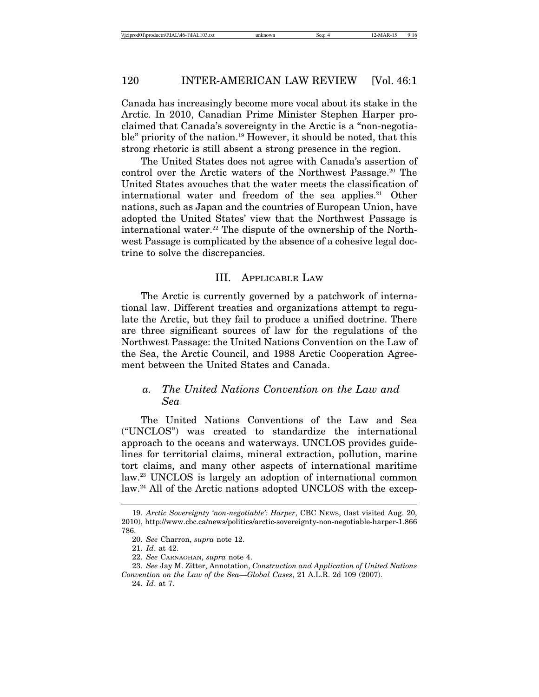Canada has increasingly become more vocal about its stake in the Arctic. In 2010, Canadian Prime Minister Stephen Harper proclaimed that Canada's sovereignty in the Arctic is a "non-negotiable" priority of the nation.<sup>19</sup> However, it should be noted, that this strong rhetoric is still absent a strong presence in the region.

The United States does not agree with Canada's assertion of control over the Arctic waters of the Northwest Passage.<sup>20</sup> The United States avouches that the water meets the classification of international water and freedom of the sea applies.<sup>21</sup> Other nations, such as Japan and the countries of European Union, have adopted the United States' view that the Northwest Passage is international water.<sup>22</sup> The dispute of the ownership of the Northwest Passage is complicated by the absence of a cohesive legal doctrine to solve the discrepancies.

# III. APPLICABLE LAW

The Arctic is currently governed by a patchwork of international law. Different treaties and organizations attempt to regulate the Arctic, but they fail to produce a unified doctrine. There are three significant sources of law for the regulations of the Northwest Passage: the United Nations Convention on the Law of the Sea, the Arctic Council, and 1988 Arctic Cooperation Agreement between the United States and Canada.

# *a. The United Nations Convention on the Law and Sea*

The United Nations Conventions of the Law and Sea ("UNCLOS") was created to standardize the international approach to the oceans and waterways. UNCLOS provides guidelines for territorial claims, mineral extraction, pollution, marine tort claims, and many other aspects of international maritime law.23 UNCLOS is largely an adoption of international common law.<sup>24</sup> All of the Arctic nations adopted UNCLOS with the excep-

<sup>19.</sup> *Arctic Sovereignty 'non-negotiable': Harper*, CBC NEWS, (last visited Aug. 20, 2010), http://www.cbc.ca/news/politics/arctic-sovereignty-non-negotiable-harper-1.866 786.

<sup>20.</sup> *See* Charron, *supra* note 12.

<sup>21.</sup> *Id*. at 42.

<sup>22.</sup> *See* CARNAGHAN, *supra* note 4.

<sup>23.</sup> *See* Jay M. Zitter, Annotation, *Construction and Application of United Nations Convention on the Law of the Sea—Global Cases*, 21 A.L.R. 2d 109 (2007).

<sup>24.</sup> *Id*. at 7.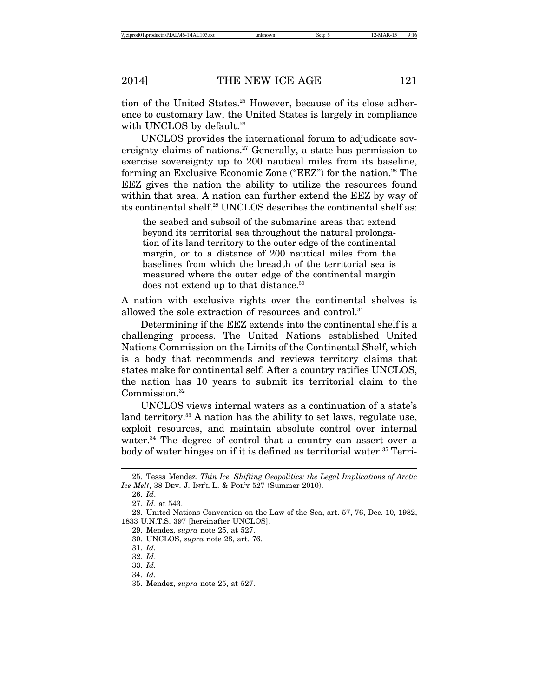tion of the United States.<sup>25</sup> However, because of its close adherence to customary law, the United States is largely in compliance with UNCLOS by default.<sup>26</sup>

UNCLOS provides the international forum to adjudicate sovereignty claims of nations.27 Generally, a state has permission to exercise sovereignty up to 200 nautical miles from its baseline, forming an Exclusive Economic Zone ("EEZ") for the nation.28 The EEZ gives the nation the ability to utilize the resources found within that area. A nation can further extend the EEZ by way of its continental shelf.29 UNCLOS describes the continental shelf as:

the seabed and subsoil of the submarine areas that extend beyond its territorial sea throughout the natural prolongation of its land territory to the outer edge of the continental margin, or to a distance of 200 nautical miles from the baselines from which the breadth of the territorial sea is measured where the outer edge of the continental margin does not extend up to that distance.<sup>30</sup>

A nation with exclusive rights over the continental shelves is allowed the sole extraction of resources and control.<sup>31</sup>

Determining if the EEZ extends into the continental shelf is a challenging process. The United Nations established United Nations Commission on the Limits of the Continental Shelf, which is a body that recommends and reviews territory claims that states make for continental self. After a country ratifies UNCLOS, the nation has 10 years to submit its territorial claim to the Commission.<sup>32</sup>

UNCLOS views internal waters as a continuation of a state's land territory.<sup>33</sup> A nation has the ability to set laws, regulate use, exploit resources, and maintain absolute control over internal water.<sup>34</sup> The degree of control that a country can assert over a body of water hinges on if it is defined as territorial water.<sup>35</sup> Terri-

<sup>25.</sup> Tessa Mendez, *Thin Ice, Shifting Geopolitics: the Legal Implications of Arctic Ice Melt*, 38 DEV. J. INT'L L. & POL'Y 527 (Summer 2010).

<sup>26.</sup> *Id*.

<sup>27.</sup> *Id*. at 543.

<sup>28.</sup> United Nations Convention on the Law of the Sea, art. 57, 76, Dec. 10, 1982, 1833 U.N.T.S. 397 [hereinafter UNCLOS].

<sup>29.</sup> Mendez, *supra* note 25, at 527.

<sup>30.</sup> UNCLOS, *supra* note 28, art. 76.

<sup>31.</sup> *Id.*

<sup>32.</sup> *Id*.

<sup>33.</sup> *Id.*

<sup>34.</sup> *Id.*

<sup>35.</sup> Mendez, *supra* note 25, at 527.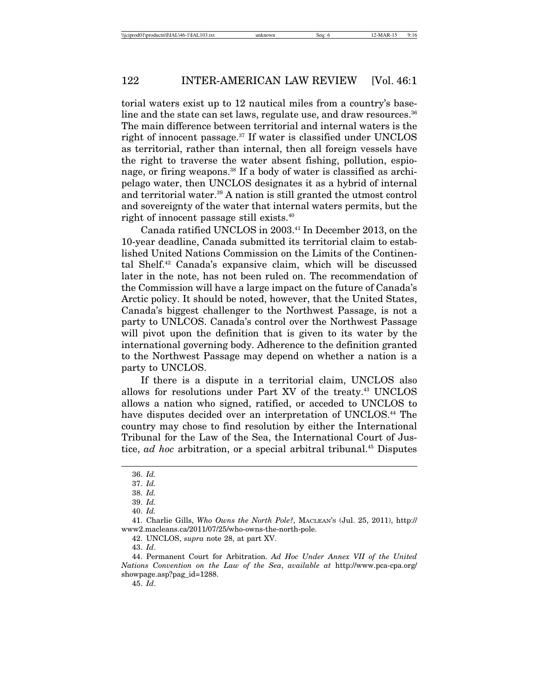torial waters exist up to 12 nautical miles from a country's baseline and the state can set laws, regulate use, and draw resources.<sup>36</sup> The main difference between territorial and internal waters is the right of innocent passage.<sup>37</sup> If water is classified under UNCLOS as territorial, rather than internal, then all foreign vessels have the right to traverse the water absent fishing, pollution, espionage, or firing weapons.<sup>38</sup> If a body of water is classified as archipelago water, then UNCLOS designates it as a hybrid of internal and territorial water.<sup>39</sup> A nation is still granted the utmost control and sovereignty of the water that internal waters permits, but the right of innocent passage still exists.40

Canada ratified UNCLOS in 2003.<sup>41</sup> In December 2013, on the 10-year deadline, Canada submitted its territorial claim to established United Nations Commission on the Limits of the Continental Shelf.42 Canada's expansive claim, which will be discussed later in the note, has not been ruled on. The recommendation of the Commission will have a large impact on the future of Canada's Arctic policy. It should be noted, however, that the United States, Canada's biggest challenger to the Northwest Passage, is not a party to UNLCOS. Canada's control over the Northwest Passage will pivot upon the definition that is given to its water by the international governing body. Adherence to the definition granted to the Northwest Passage may depend on whether a nation is a party to UNCLOS.

If there is a dispute in a territorial claim, UNCLOS also allows for resolutions under Part XV of the treaty.<sup>43</sup> UNCLOS allows a nation who signed, ratified, or acceded to UNCLOS to have disputes decided over an interpretation of UNCLOS.<sup>44</sup> The country may chose to find resolution by either the International Tribunal for the Law of the Sea, the International Court of Justice, *ad hoc* arbitration, or a special arbitral tribunal.<sup>45</sup> Disputes

42. UNCLOS, *supra* note 28, at part XV.

45. *Id*.

<sup>36.</sup> *Id.*

<sup>37.</sup> *Id.*

<sup>38.</sup> *Id.*

<sup>39.</sup> *Id.*

<sup>40.</sup> *Id.*

<sup>41.</sup> Charlie Gills, *Who Owns the North Pole?*, MACLEAN'S (Jul. 25, 2011), http:// www2.macleans.ca/2011/07/25/who-owns-the-north-pole.

<sup>43.</sup> *Id*.

<sup>44.</sup> Permanent Court for Arbitration. *Ad Hoc Under Annex VII of the United Nations Convention on the Law of the Sea*, *available at* http://www.pca-cpa.org/ showpage.asp?pag\_id=1288.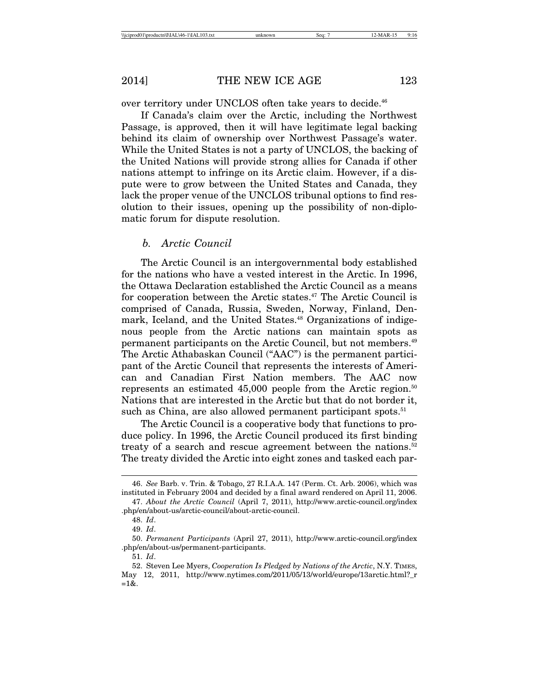over territory under UNCLOS often take years to decide.<sup>46</sup>

If Canada's claim over the Arctic, including the Northwest Passage, is approved, then it will have legitimate legal backing behind its claim of ownership over Northwest Passage's water. While the United States is not a party of UNCLOS, the backing of the United Nations will provide strong allies for Canada if other nations attempt to infringe on its Arctic claim. However, if a dispute were to grow between the United States and Canada, they lack the proper venue of the UNCLOS tribunal options to find resolution to their issues, opening up the possibility of non-diplomatic forum for dispute resolution.

# *b. Arctic Council*

The Arctic Council is an intergovernmental body established for the nations who have a vested interest in the Arctic. In 1996, the Ottawa Declaration established the Arctic Council as a means for cooperation between the Arctic states.<sup>47</sup> The Arctic Council is comprised of Canada, Russia, Sweden, Norway, Finland, Denmark, Iceland, and the United States.<sup>48</sup> Organizations of indigenous people from the Arctic nations can maintain spots as permanent participants on the Arctic Council, but not members.49 The Arctic Athabaskan Council ("AAC") is the permanent participant of the Arctic Council that represents the interests of American and Canadian First Nation members. The AAC now represents an estimated  $45,000$  people from the Arctic region.<sup>50</sup> Nations that are interested in the Arctic but that do not border it, such as China, are also allowed permanent participant spots.<sup>51</sup>

The Arctic Council is a cooperative body that functions to produce policy. In 1996, the Arctic Council produced its first binding treaty of a search and rescue agreement between the nations.<sup>52</sup> The treaty divided the Arctic into eight zones and tasked each par-

<sup>46.</sup> *See* Barb. v. Trin. & Tobago, 27 R.I.A.A. 147 (Perm. Ct. Arb. 2006), which was instituted in February 2004 and decided by a final award rendered on April 11, 2006.

<sup>47.</sup> *About the Arctic Council* (April 7, 2011), http://www.arctic-council.org/index .php/en/about-us/arctic-council/about-arctic-council.

<sup>48.</sup> *Id*.

<sup>49.</sup> *Id*.

<sup>50.</sup> *Permanent Participants* (April 27, 2011), http://www.arctic-council.org/index .php/en/about-us/permanent-participants.

<sup>51.</sup> *Id*.

<sup>52.</sup> Steven Lee Myers, *Cooperation Is Pledged by Nations of the Arctic*, N.Y. TIMES, May 12, 2011, http://www.nytimes.com/2011/05/13/world/europe/13arctic.html?\_r  $=1&.$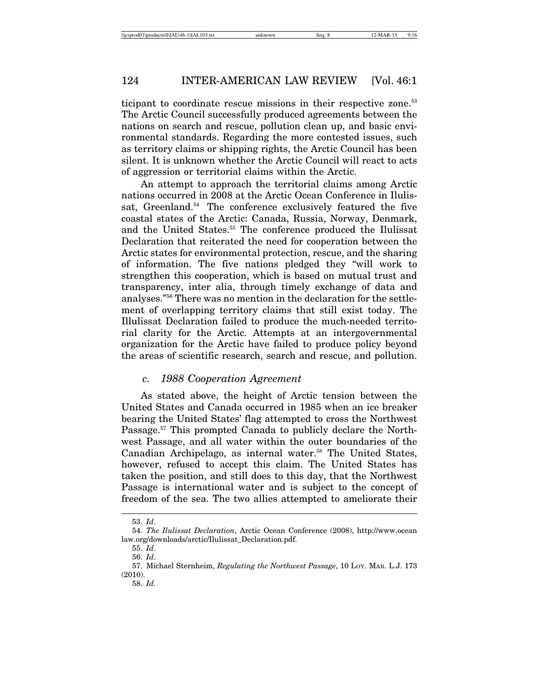ticipant to coordinate rescue missions in their respective zone.<sup>53</sup> The Arctic Council successfully produced agreements between the nations on search and rescue, pollution clean up, and basic environmental standards. Regarding the more contested issues, such as territory claims or shipping rights, the Arctic Council has been silent. It is unknown whether the Arctic Council will react to acts of aggression or territorial claims within the Arctic.

An attempt to approach the territorial claims among Arctic nations occurred in 2008 at the Arctic Ocean Conference in Ilulissat, Greenland.<sup>54</sup> The conference exclusively featured the five coastal states of the Arctic: Canada, Russia, Norway, Denmark, and the United States.<sup>55</sup> The conference produced the Ilulissat Declaration that reiterated the need for cooperation between the Arctic states for environmental protection, rescue, and the sharing of information. The five nations pledged they "will work to strengthen this cooperation, which is based on mutual trust and transparency, inter alia, through timely exchange of data and analyses."56 There was no mention in the declaration for the settlement of overlapping territory claims that still exist today. The Illulissat Declaration failed to produce the much-needed territorial clarity for the Arctic. Attempts at an intergovernmental organization for the Arctic have failed to produce policy beyond the areas of scientific research, search and rescue, and pollution.

# *c. 1988 Cooperation Agreement*

As stated above, the height of Arctic tension between the United States and Canada occurred in 1985 when an ice breaker bearing the United States' flag attempted to cross the Northwest Passage.<sup>57</sup> This prompted Canada to publicly declare the Northwest Passage, and all water within the outer boundaries of the Canadian Archipelago, as internal water.<sup>58</sup> The United States, however, refused to accept this claim. The United States has taken the position, and still does to this day, that the Northwest Passage is international water and is subject to the concept of freedom of the sea. The two allies attempted to ameliorate their

<sup>53.</sup> *Id*.

<sup>54.</sup> *The Ilulissat Declaration*, Arctic Ocean Conference (2008), http://www.ocean law.org/downloads/arctic/Ilulissat\_Declaration.pdf.

<sup>55.</sup> *Id*.

<sup>56.</sup> *Id*.

<sup>57.</sup> Michael Sternheim, *Regulating the Northwest Passage*, 10 LOY. MAR. L.J. 173 (2010).

<sup>58.</sup> *Id.*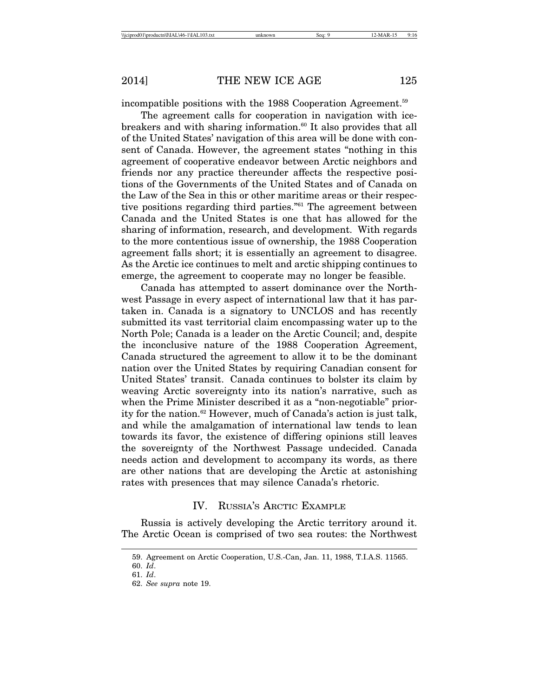incompatible positions with the 1988 Cooperation Agreement.<sup>59</sup>

The agreement calls for cooperation in navigation with icebreakers and with sharing information.<sup>60</sup> It also provides that all of the United States' navigation of this area will be done with consent of Canada. However, the agreement states "nothing in this agreement of cooperative endeavor between Arctic neighbors and friends nor any practice thereunder affects the respective positions of the Governments of the United States and of Canada on the Law of the Sea in this or other maritime areas or their respective positions regarding third parties."61 The agreement between Canada and the United States is one that has allowed for the sharing of information, research, and development. With regards to the more contentious issue of ownership, the 1988 Cooperation agreement falls short; it is essentially an agreement to disagree. As the Arctic ice continues to melt and arctic shipping continues to emerge, the agreement to cooperate may no longer be feasible.

Canada has attempted to assert dominance over the Northwest Passage in every aspect of international law that it has partaken in. Canada is a signatory to UNCLOS and has recently submitted its vast territorial claim encompassing water up to the North Pole; Canada is a leader on the Arctic Council; and, despite the inconclusive nature of the 1988 Cooperation Agreement, Canada structured the agreement to allow it to be the dominant nation over the United States by requiring Canadian consent for United States' transit. Canada continues to bolster its claim by weaving Arctic sovereignty into its nation's narrative, such as when the Prime Minister described it as a "non-negotiable" priority for the nation.62 However, much of Canada's action is just talk, and while the amalgamation of international law tends to lean towards its favor, the existence of differing opinions still leaves the sovereignty of the Northwest Passage undecided. Canada needs action and development to accompany its words, as there are other nations that are developing the Arctic at astonishing rates with presences that may silence Canada's rhetoric.

# IV. RUSSIA'S ARCTIC EXAMPLE

Russia is actively developing the Arctic territory around it. The Arctic Ocean is comprised of two sea routes: the Northwest

<sup>59.</sup> Agreement on Arctic Cooperation, U.S.-Can, Jan. 11, 1988, T.I.A.S. 11565.

<sup>60.</sup> *Id*. 61. *Id*.

<sup>62.</sup> *See supra* note 19.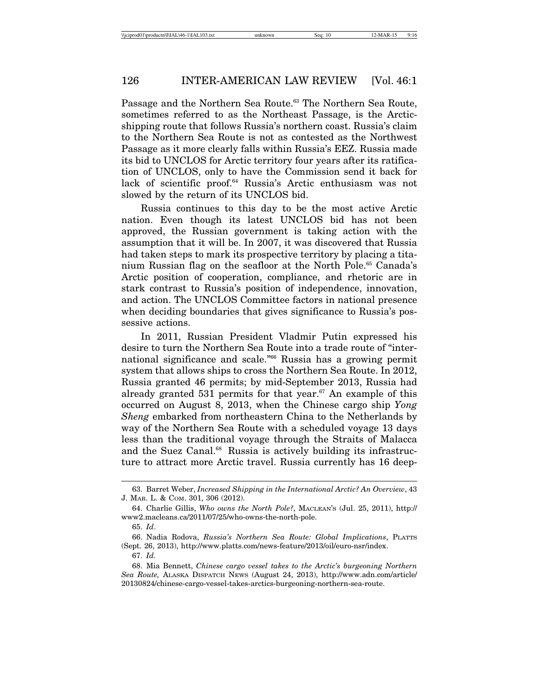Passage and the Northern Sea Route.<sup>63</sup> The Northern Sea Route, sometimes referred to as the Northeast Passage, is the Arcticshipping route that follows Russia's northern coast. Russia's claim to the Northern Sea Route is not as contested as the Northwest Passage as it more clearly falls within Russia's EEZ. Russia made its bid to UNCLOS for Arctic territory four years after its ratification of UNCLOS, only to have the Commission send it back for lack of scientific proof.64 Russia's Arctic enthusiasm was not slowed by the return of its UNCLOS bid.

Russia continues to this day to be the most active Arctic nation. Even though its latest UNCLOS bid has not been approved, the Russian government is taking action with the assumption that it will be. In 2007, it was discovered that Russia had taken steps to mark its prospective territory by placing a titanium Russian flag on the seafloor at the North Pole.<sup>65</sup> Canada's Arctic position of cooperation, compliance, and rhetoric are in stark contrast to Russia's position of independence, innovation, and action. The UNCLOS Committee factors in national presence when deciding boundaries that gives significance to Russia's possessive actions.

In 2011, Russian President Vladmir Putin expressed his desire to turn the Northern Sea Route into a trade route of "international significance and scale."66 Russia has a growing permit system that allows ships to cross the Northern Sea Route. In 2012, Russia granted 46 permits; by mid-September 2013, Russia had already granted 531 permits for that year.<sup>67</sup> An example of this occurred on August 8, 2013, when the Chinese cargo ship *Yong Sheng* embarked from northeastern China to the Netherlands by way of the Northern Sea Route with a scheduled voyage 13 days less than the traditional voyage through the Straits of Malacca and the Suez Canal.<sup>68</sup> Russia is actively building its infrastructure to attract more Arctic travel. Russia currently has 16 deep-

<sup>63.</sup> Barret Weber, *Increased Shipping in the International Arctic? An Overview*, 43 J. MAR. L. & COM. 301, 306 (2012).

<sup>64.</sup> Charlie Gillis, *Who owns the North Pole?*, MACLEAN'S (Jul. 25, 2011), http:// www2.macleans.ca/2011/07/25/who-owns-the-north-pole.

<sup>65.</sup> *Id*.

<sup>66.</sup> Nadia Rodova, *Russia's Northern Sea Route: Global Implications*, PLATTS (Sept. 26, 2013), http://www.platts.com/news-feature/2013/oil/euro-nsr/index.

<sup>67.</sup> *Id.*

<sup>68.</sup> Mia Bennett, *Chinese cargo vessel takes to the Arctic's burgeoning Northern Sea Route,* ALASKA DISPATCH NEWS (August 24, 2013), http://www.adn.com/article/ 20130824/chinese-cargo-vessel-takes-arctics-burgeoning-northern-sea-route.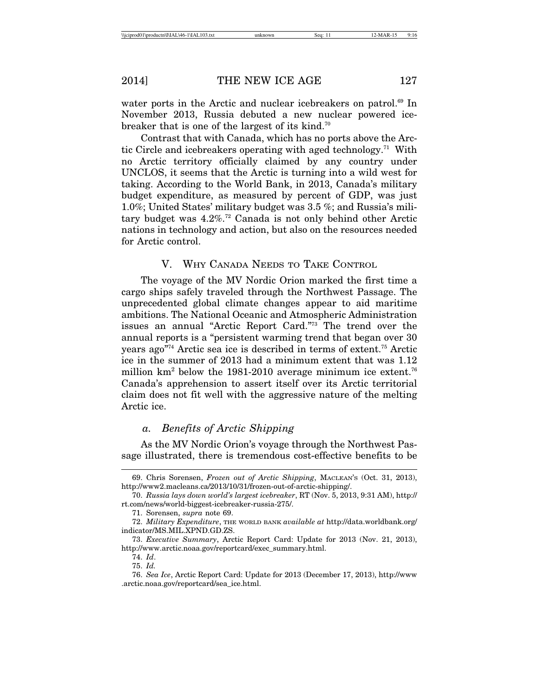water ports in the Arctic and nuclear icebreakers on patrol.<sup>69</sup> In November 2013, Russia debuted a new nuclear powered icebreaker that is one of the largest of its kind.70

Contrast that with Canada, which has no ports above the Arctic Circle and icebreakers operating with aged technology.<sup>71</sup> With no Arctic territory officially claimed by any country under UNCLOS, it seems that the Arctic is turning into a wild west for taking. According to the World Bank, in 2013, Canada's military budget expenditure, as measured by percent of GDP, was just 1.0%; United States' military budget was 3.5 %; and Russia's military budget was 4.2%.72 Canada is not only behind other Arctic nations in technology and action, but also on the resources needed for Arctic control.

V. WHY CANADA NEEDS TO TAKE CONTROL

The voyage of the MV Nordic Orion marked the first time a cargo ships safely traveled through the Northwest Passage. The unprecedented global climate changes appear to aid maritime ambitions. The National Oceanic and Atmospheric Administration issues an annual "Arctic Report Card."73 The trend over the annual reports is a "persistent warming trend that began over 30 years ago"74 Arctic sea ice is described in terms of extent.75 Arctic ice in the summer of 2013 had a minimum extent that was 1.12 million  $km^2$  below the 1981-2010 average minimum ice extent.<sup>76</sup> Canada's apprehension to assert itself over its Arctic territorial claim does not fit well with the aggressive nature of the melting Arctic ice.

# *a. Benefits of Arctic Shipping*

As the MV Nordic Orion's voyage through the Northwest Passage illustrated, there is tremendous cost-effective benefits to be

<sup>69.</sup> Chris Sorensen, *Frozen out of Arctic Shipping*, MACLEAN'S (Oct. 31, 2013), http://www2.macleans.ca/2013/10/31/frozen-out-of-arctic-shipping/.

<sup>70.</sup> *Russia lays down world's largest icebreaker*, RT (Nov. 5, 2013, 9:31 AM), http:// rt.com/news/world-biggest-icebreaker-russia-275/.

<sup>71.</sup> Sorensen, *supra* note 69.

<sup>72.</sup> *Military Expenditure*, THE WORLD BANK *available at* http://data.worldbank.org/ indicator/MS.MIL.XPND.GD.ZS.

<sup>73.</sup> *Executive Summary*, Arctic Report Card: Update for 2013 (Nov. 21, 2013), http://www.arctic.noaa.gov/reportcard/exec\_summary.html.

<sup>74.</sup> *Id*.

<sup>75.</sup> *Id.*

<sup>76.</sup> *Sea Ice*, Arctic Report Card: Update for 2013 (December 17, 2013), http://www .arctic.noaa.gov/reportcard/sea\_ice.html.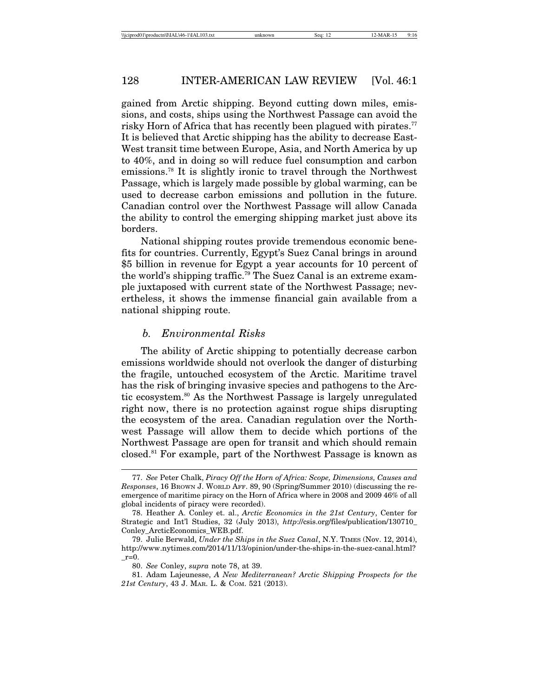gained from Arctic shipping. Beyond cutting down miles, emissions, and costs, ships using the Northwest Passage can avoid the risky Horn of Africa that has recently been plagued with pirates.<sup>77</sup> It is believed that Arctic shipping has the ability to decrease East-West transit time between Europe, Asia, and North America by up to 40%, and in doing so will reduce fuel consumption and carbon emissions.78 It is slightly ironic to travel through the Northwest Passage, which is largely made possible by global warming, can be used to decrease carbon emissions and pollution in the future. Canadian control over the Northwest Passage will allow Canada the ability to control the emerging shipping market just above its borders.

National shipping routes provide tremendous economic benefits for countries. Currently, Egypt's Suez Canal brings in around \$5 billion in revenue for Egypt a year accounts for 10 percent of the world's shipping traffic.79 The Suez Canal is an extreme example juxtaposed with current state of the Northwest Passage; nevertheless, it shows the immense financial gain available from a national shipping route.

# *b. Environmental Risks*

The ability of Arctic shipping to potentially decrease carbon emissions worldwide should not overlook the danger of disturbing the fragile, untouched ecosystem of the Arctic. Maritime travel has the risk of bringing invasive species and pathogens to the Arctic ecosystem.80 As the Northwest Passage is largely unregulated right now, there is no protection against rogue ships disrupting the ecosystem of the area. Canadian regulation over the Northwest Passage will allow them to decide which portions of the Northwest Passage are open for transit and which should remain closed.81 For example, part of the Northwest Passage is known as

<sup>77.</sup> *See* Peter Chalk, *Piracy Off the Horn of Africa: Scope, Dimensions, Causes and Responses*, 16 BROWN J. WORLD AFF. 89, 90 (Spring/Summer 2010) (discussing the reemergence of maritime piracy on the Horn of Africa where in 2008 and 2009 46% of all global incidents of piracy were recorded).

<sup>78.</sup> Heather A. Conley et. al., *Arctic Economics in the 21st Century*, Center for Strategic and Int'l Studies, 32 (July 2013), *http*://csis.org/files/publication/130710\_ Conley\_ArcticEconomics\_WEB.pdf.

<sup>79.</sup> Julie Berwald, *Under the Ships in the Suez Canal*, N.Y. TIMES (Nov. 12, 2014), http://www.nytimes.com/2014/11/13/opinion/under-the-ships-in-the-suez-canal.html?  $r=0$ .

<sup>80.</sup> *See* Conley, *supra* note 78, at 39.

<sup>81.</sup> Adam Lajeunesse, *A New Mediterranean? Arctic Shipping Prospects for the 21st Century*, 43 J. MAR. L. & COM. 521 (2013).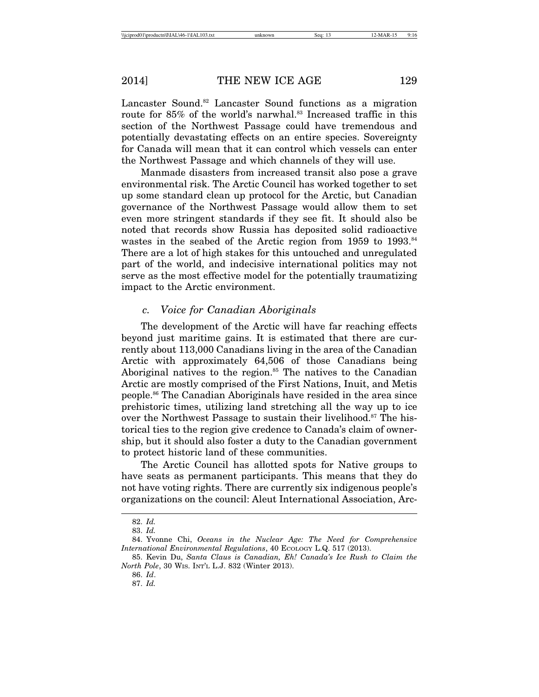Lancaster Sound.<sup>82</sup> Lancaster Sound functions as a migration route for 85% of the world's narwhal.<sup>83</sup> Increased traffic in this section of the Northwest Passage could have tremendous and potentially devastating effects on an entire species. Sovereignty for Canada will mean that it can control which vessels can enter the Northwest Passage and which channels of they will use.

Manmade disasters from increased transit also pose a grave environmental risk. The Arctic Council has worked together to set up some standard clean up protocol for the Arctic, but Canadian governance of the Northwest Passage would allow them to set even more stringent standards if they see fit. It should also be noted that records show Russia has deposited solid radioactive wastes in the seabed of the Arctic region from 1959 to 1993.<sup>84</sup> There are a lot of high stakes for this untouched and unregulated part of the world, and indecisive international politics may not serve as the most effective model for the potentially traumatizing impact to the Arctic environment.

# *c. Voice for Canadian Aboriginals*

The development of the Arctic will have far reaching effects beyond just maritime gains. It is estimated that there are currently about 113,000 Canadians living in the area of the Canadian Arctic with approximately 64,506 of those Canadians being Aboriginal natives to the region.<sup>85</sup> The natives to the Canadian Arctic are mostly comprised of the First Nations, Inuit, and Metis people.86 The Canadian Aboriginals have resided in the area since prehistoric times, utilizing land stretching all the way up to ice over the Northwest Passage to sustain their livelihood.<sup>87</sup> The historical ties to the region give credence to Canada's claim of ownership, but it should also foster a duty to the Canadian government to protect historic land of these communities.

The Arctic Council has allotted spots for Native groups to have seats as permanent participants. This means that they do not have voting rights. There are currently six indigenous people's organizations on the council: Aleut International Association, Arc-

<sup>82.</sup> *Id.*

<sup>83.</sup> *Id.*

<sup>84.</sup> Yvonne Chi, *Oceans in the Nuclear Age: The Need for Comprehensive International Environmental Regulations*, 40 ECOLOGY L.Q. 517 (2013).

<sup>85.</sup> Kevin Du, *Santa Claus is Canadian, Eh! Canada's Ice Rush to Claim the North Pole*, 30 WIS. INT'L L.J. 832 (Winter 2013).

<sup>86.</sup> *Id*.

<sup>87.</sup> *Id.*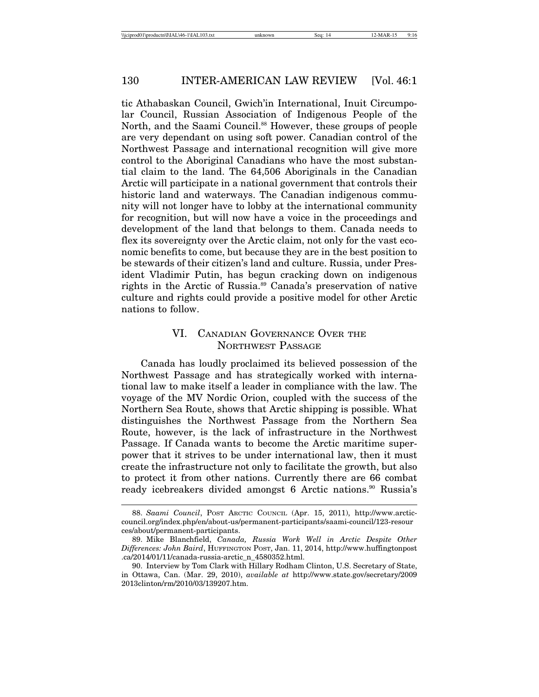tic Athabaskan Council, Gwich'in International, Inuit Circumpolar Council, Russian Association of Indigenous People of the North, and the Saami Council.<sup>88</sup> However, these groups of people are very dependant on using soft power. Canadian control of the Northwest Passage and international recognition will give more control to the Aboriginal Canadians who have the most substantial claim to the land. The 64,506 Aboriginals in the Canadian Arctic will participate in a national government that controls their historic land and waterways. The Canadian indigenous community will not longer have to lobby at the international community for recognition, but will now have a voice in the proceedings and development of the land that belongs to them. Canada needs to flex its sovereignty over the Arctic claim, not only for the vast economic benefits to come, but because they are in the best position to be stewards of their citizen's land and culture. Russia, under President Vladimir Putin, has begun cracking down on indigenous rights in the Arctic of Russia.89 Canada's preservation of native culture and rights could provide a positive model for other Arctic nations to follow.

# VI. CANADIAN GOVERNANCE OVER THE NORTHWEST PASSAGE

Canada has loudly proclaimed its believed possession of the Northwest Passage and has strategically worked with international law to make itself a leader in compliance with the law. The voyage of the MV Nordic Orion, coupled with the success of the Northern Sea Route, shows that Arctic shipping is possible. What distinguishes the Northwest Passage from the Northern Sea Route, however, is the lack of infrastructure in the Northwest Passage. If Canada wants to become the Arctic maritime superpower that it strives to be under international law, then it must create the infrastructure not only to facilitate the growth, but also to protect it from other nations. Currently there are 66 combat ready icebreakers divided amongst 6 Arctic nations.<sup>90</sup> Russia's

<sup>88.</sup> *Saami Council*, POST ARCTIC COUNCIL (Apr. 15, 2011), http://www.arcticcouncil.org/index.php/en/about-us/permanent-participants/saami-council/123-resour ces/about/permanent-participants.

<sup>89.</sup> Mike Blanchfield, *Canada, Russia Work Well in Arctic Despite Other Differences: John Baird*, HUFFINGTON POST, Jan. 11, 2014, http://www.huffingtonpost .ca/2014/01/11/canada-russia-arctic\_n\_4580352.html.

<sup>90.</sup> Interview by Tom Clark with Hillary Rodham Clinton, U.S. Secretary of State, in Ottawa, Can. (Mar. 29, 2010), *available at* http://www.state.gov/secretary/2009 2013clinton/rm/2010/03/139207.htm.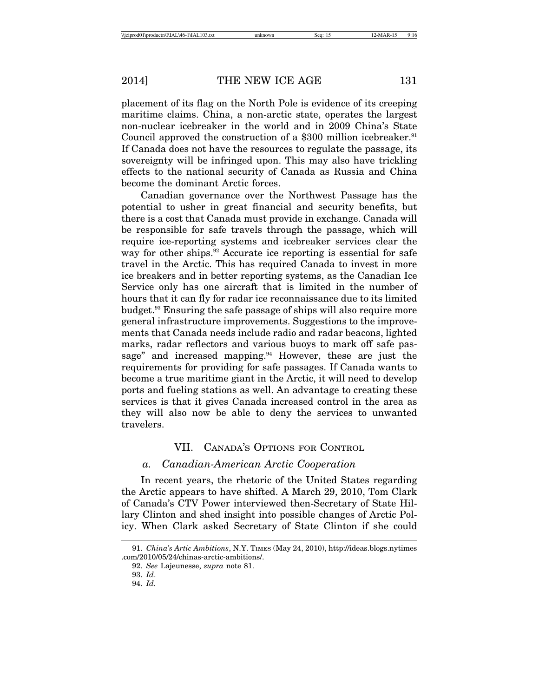placement of its flag on the North Pole is evidence of its creeping maritime claims. China, a non-arctic state, operates the largest non-nuclear icebreaker in the world and in 2009 China's State Council approved the construction of a \$300 million icebreaker.<sup>91</sup> If Canada does not have the resources to regulate the passage, its sovereignty will be infringed upon. This may also have trickling effects to the national security of Canada as Russia and China become the dominant Arctic forces.

Canadian governance over the Northwest Passage has the potential to usher in great financial and security benefits, but there is a cost that Canada must provide in exchange. Canada will be responsible for safe travels through the passage, which will require ice-reporting systems and icebreaker services clear the way for other ships.<sup>92</sup> Accurate ice reporting is essential for safe travel in the Arctic. This has required Canada to invest in more ice breakers and in better reporting systems, as the Canadian Ice Service only has one aircraft that is limited in the number of hours that it can fly for radar ice reconnaissance due to its limited budget.93 Ensuring the safe passage of ships will also require more general infrastructure improvements. Suggestions to the improvements that Canada needs include radio and radar beacons, lighted marks, radar reflectors and various buoys to mark off safe passage" and increased mapping.<sup>94</sup> However, these are just the requirements for providing for safe passages. If Canada wants to become a true maritime giant in the Arctic, it will need to develop ports and fueling stations as well. An advantage to creating these services is that it gives Canada increased control in the area as they will also now be able to deny the services to unwanted travelers.

# VII. CANADA'S OPTIONS FOR CONTROL

#### *a. Canadian-American Arctic Cooperation*

In recent years, the rhetoric of the United States regarding the Arctic appears to have shifted. A March 29, 2010, Tom Clark of Canada's CTV Power interviewed then-Secretary of State Hillary Clinton and shed insight into possible changes of Arctic Policy. When Clark asked Secretary of State Clinton if she could

<sup>91.</sup> *China's Artic Ambitions*, N.Y. TIMES (May 24, 2010), http://ideas.blogs.nytimes .com/2010/05/24/chinas-arctic-ambitions/.

<sup>92.</sup> *See* Lajeunesse, *supra* note 81.

<sup>93.</sup> *Id*.

<sup>94.</sup> *Id.*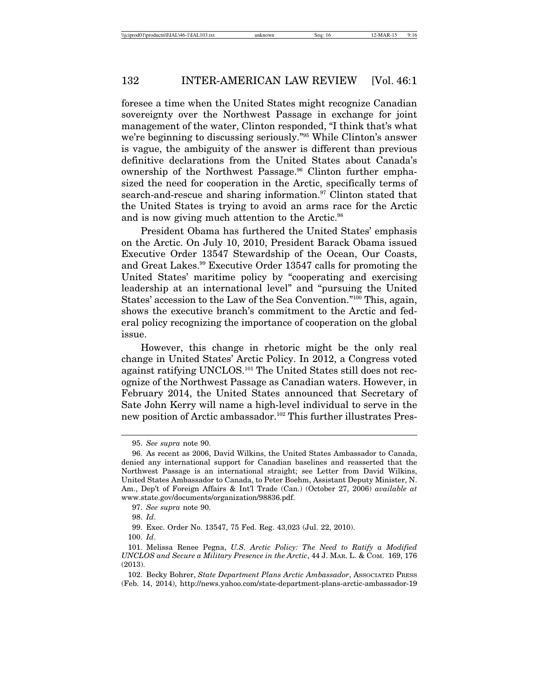foresee a time when the United States might recognize Canadian sovereignty over the Northwest Passage in exchange for joint management of the water, Clinton responded, "I think that's what we're beginning to discussing seriously."95 While Clinton's answer is vague, the ambiguity of the answer is different than previous definitive declarations from the United States about Canada's ownership of the Northwest Passage.<sup>96</sup> Clinton further emphasized the need for cooperation in the Arctic, specifically terms of search-and-rescue and sharing information.<sup>97</sup> Clinton stated that the United States is trying to avoid an arms race for the Arctic and is now giving much attention to the Arctic.<sup>98</sup>

President Obama has furthered the United States' emphasis on the Arctic. On July 10, 2010, President Barack Obama issued Executive Order 13547 Stewardship of the Ocean, Our Coasts, and Great Lakes.<sup>99</sup> Executive Order 13547 calls for promoting the United States' maritime policy by "cooperating and exercising leadership at an international level" and "pursuing the United States' accession to the Law of the Sea Convention."100 This, again, shows the executive branch's commitment to the Arctic and federal policy recognizing the importance of cooperation on the global issue.

However, this change in rhetoric might be the only real change in United States' Arctic Policy. In 2012, a Congress voted against ratifying UNCLOS.<sup>101</sup> The United States still does not recognize of the Northwest Passage as Canadian waters. However, in February 2014, the United States announced that Secretary of Sate John Kerry will name a high-level individual to serve in the new position of Arctic ambassador.<sup>102</sup> This further illustrates Pres-

<sup>95.</sup> *See supra* note 90.

<sup>96.</sup> As recent as 2006, David Wilkins, the United States Ambassador to Canada, denied any international support for Canadian baselines and reasserted that the Northwest Passage is an international straight; see Letter from David Wilkins, United States Ambassador to Canada, to Peter Boehm, Assistant Deputy Minister, N. Am., Dep't of Foreign Affairs & Int'l Trade (Can.) (October 27, 2006) *available at* www.state.gov/documents/organization/98836.pdf.

<sup>97.</sup> *See supra* note 90.

<sup>98.</sup> *Id*.

<sup>99.</sup> Exec. Order No. 13547, 75 Fed. Reg. 43,023 (Jul. 22, 2010).

<sup>100.</sup> *Id*.

<sup>101.</sup> Melissa Renee Pegna, *U.S. Arctic Policy: The Need to Ratify a Modified UNCLOS and Secure a Military Presence in the Arctic*, 44 J. MAR. L. & COM. 169, 176 (2013).

<sup>102.</sup> Becky Bohrer, *State Department Plans Arctic Ambassador*, Associated Press (Feb. 14, 2014), http://news.yahoo.com/state-department-plans-arctic-ambassador-19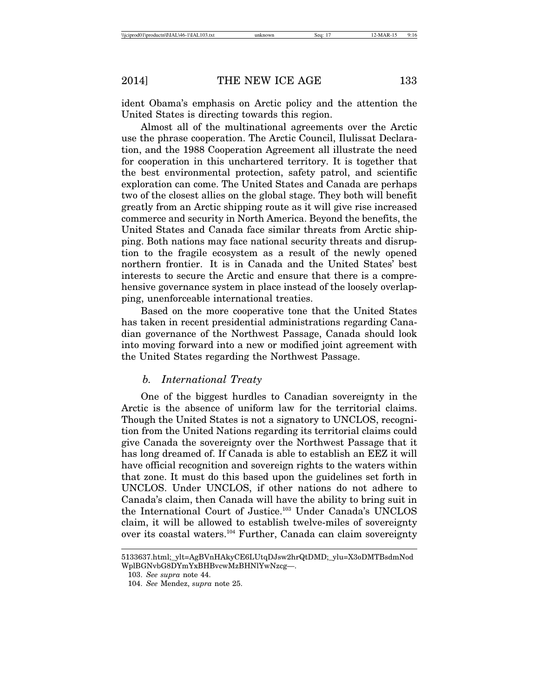ident Obama's emphasis on Arctic policy and the attention the United States is directing towards this region.

Almost all of the multinational agreements over the Arctic use the phrase cooperation. The Arctic Council, Ilulissat Declaration, and the 1988 Cooperation Agreement all illustrate the need for cooperation in this unchartered territory. It is together that the best environmental protection, safety patrol, and scientific exploration can come. The United States and Canada are perhaps two of the closest allies on the global stage. They both will benefit greatly from an Arctic shipping route as it will give rise increased commerce and security in North America. Beyond the benefits, the United States and Canada face similar threats from Arctic shipping. Both nations may face national security threats and disruption to the fragile ecosystem as a result of the newly opened northern frontier. It is in Canada and the United States' best interests to secure the Arctic and ensure that there is a comprehensive governance system in place instead of the loosely overlapping, unenforceable international treaties.

Based on the more cooperative tone that the United States has taken in recent presidential administrations regarding Canadian governance of the Northwest Passage, Canada should look into moving forward into a new or modified joint agreement with the United States regarding the Northwest Passage.

#### *b. International Treaty*

One of the biggest hurdles to Canadian sovereignty in the Arctic is the absence of uniform law for the territorial claims. Though the United States is not a signatory to UNCLOS, recognition from the United Nations regarding its territorial claims could give Canada the sovereignty over the Northwest Passage that it has long dreamed of. If Canada is able to establish an EEZ it will have official recognition and sovereign rights to the waters within that zone. It must do this based upon the guidelines set forth in UNCLOS. Under UNCLOS, if other nations do not adhere to Canada's claim, then Canada will have the ability to bring suit in the International Court of Justice.103 Under Canada's UNCLOS claim, it will be allowed to establish twelve-miles of sovereignty over its coastal waters.<sup>104</sup> Further, Canada can claim sovereignty

<sup>5133637.</sup>html;\_ylt=AgBVnHAkyCE6LUtqDJsw2hrQtDMD;\_ylu=X3oDMTBsdmNod WplBGNvbG8DYmYxBHBvcwMzBHNlYwNzcg—.

<sup>103.</sup> *See supra* note 44.

<sup>104.</sup> *See* Mendez, *supra* note 25.